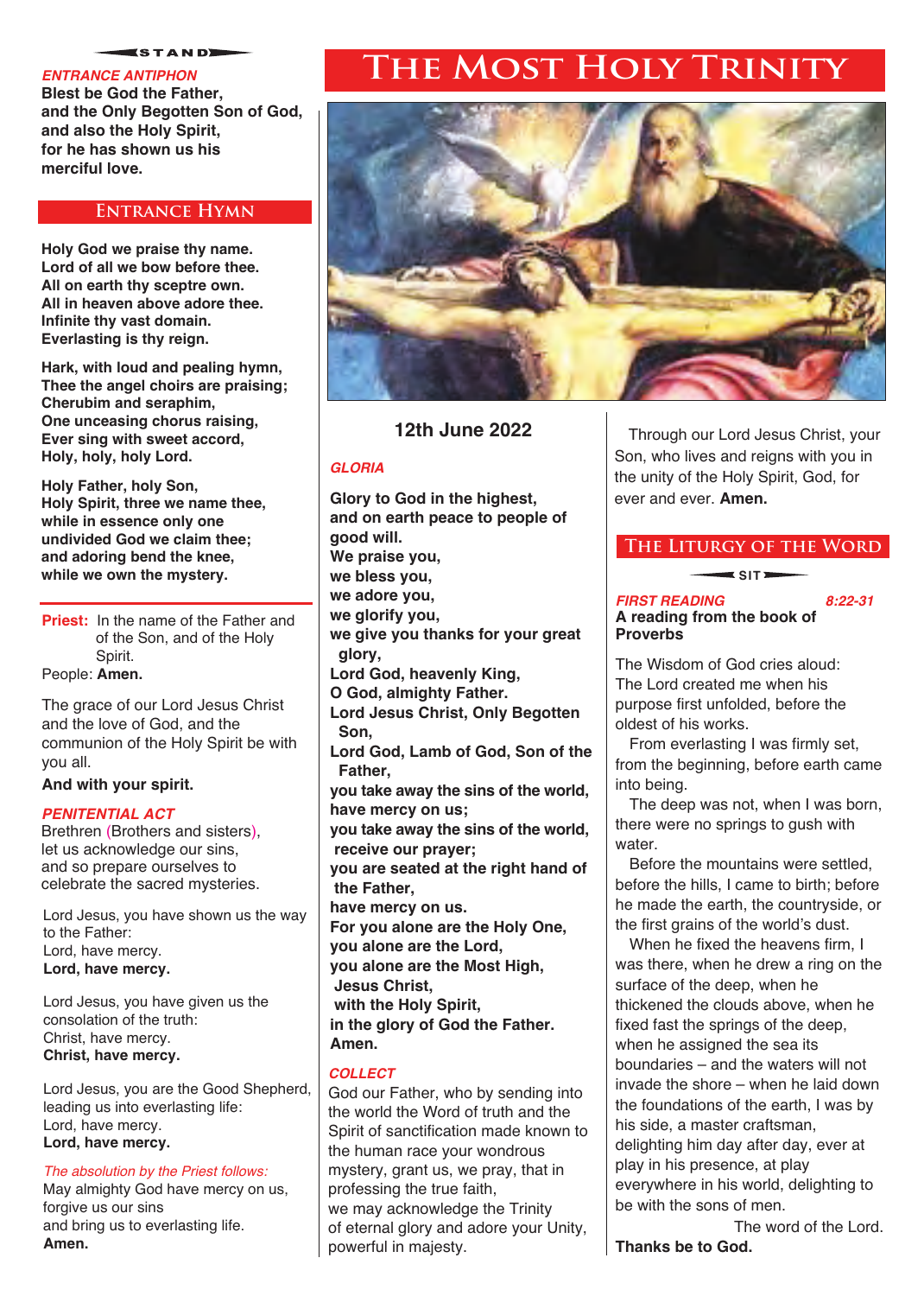# **ESTAND**

*ENTRANCE ANTIPHON*  **Blest be God the Father, and the Only Begotten Son of God, and also the Holy Spirit, for he has shown us his merciful love.**

# **Entrance Hymn**

**Holy God we praise thy name. Lord of all we bow before thee. All on earth thy sceptre own. All in heaven above adore thee. Infinite thy vast domain. Everlasting is thy reign.**

**Hark, with loud and pealing hymn, Thee the angel choirs are praising; Cherubim and seraphim, One unceasing chorus raising, Ever sing with sweet accord, Holy, holy, holy Lord.**

**Holy Father, holy Son, Holy Spirit, three we name thee, while in essence only one undivided God we claim thee; and adoring bend the knee, while we own the mystery.**

**Priest:** In the name of the Father and of the Son, and of the Holy Spirit.

People: **Amen.**

The grace of our Lord Jesus Christ and the love of God, and the communion of the Holy Spirit be with you all.

### **And with your spirit.**

#### *PENITENTIAL ACT*

Brethren (Brothers and sisters), let us acknowledge our sins, and so prepare ourselves to celebrate the sacred mysteries.

Lord Jesus, you have shown us the way to the Father: Lord, have mercy. **Lord, have mercy.**

Lord Jesus, you have given us the consolation of the truth: Christ, have mercy. **Christ, have mercy.**

Lord Jesus, you are the Good Shepherd, leading us into everlasting life: Lord, have mercy. **Lord, have mercy.**

# *The absolution by the Priest follows:*

May almighty God have mercy on us, forgive us our sins and bring us to everlasting life. **Amen.**

# **The Most Holy Trinity**



# **12th June 2022**

#### *GLORIA*

*COLLECT* God our Father, who by sending into **Glory to God in the highest, and on earth peace to people of good will. We praise you, we bless you, we adore you, we glorify you, we give you thanks for your great glory, Lord God, heavenly King, O God, almighty Father. Lord Jesus Christ, Only Begotten Son, Lord God, Lamb of God, Son of the Father, you take away the sins of the world, have mercy on us; you take away the sins of the world, receive our prayer; you are seated at the right hand of the Father, have mercy on us. For you alone are the Holy One, you alone are the Lord, you alone are the Most High, Jesus Christ, with the Holy Spirit, in the glory of God the Father. Amen.**

the world the Word of truth and the Spirit of sanctification made known to the human race your wondrous mystery, grant us, we pray, that in professing the true faith, we may acknowledge the Trinity of eternal glory and adore your Unity, powerful in majesty.

Through our Lord Jesus Christ, your Son, who lives and reigns with you in the unity of the Holy Spirit, God, for ever and ever. **Amen.**

# **The Liturgy of the Word**

# $\leq$  SIT $\geq$

*FIRST READING 8:22-31* **A reading from the book of Proverbs**

The Wisdom of God cries aloud: The Lord created me when his purpose first unfolded, before the oldest of his works.

From everlasting I was firmly set, from the beginning, before earth came into being.

The deep was not, when I was born, there were no springs to gush with water.

Before the mountains were settled, before the hills, I came to birth; before he made the earth, the countryside, or the first grains of the world's dust.

When he fixed the heavens firm, I was there, when he drew a ring on the surface of the deep, when he thickened the clouds above, when he fixed fast the springs of the deep, when he assigned the sea its boundaries – and the waters will not invade the shore – when he laid down the foundations of the earth, I was by his side, a master craftsman, delighting him day after day, ever at play in his presence, at play everywhere in his world, delighting to be with the sons of men.

The word of the Lord. **Thanks be to God.**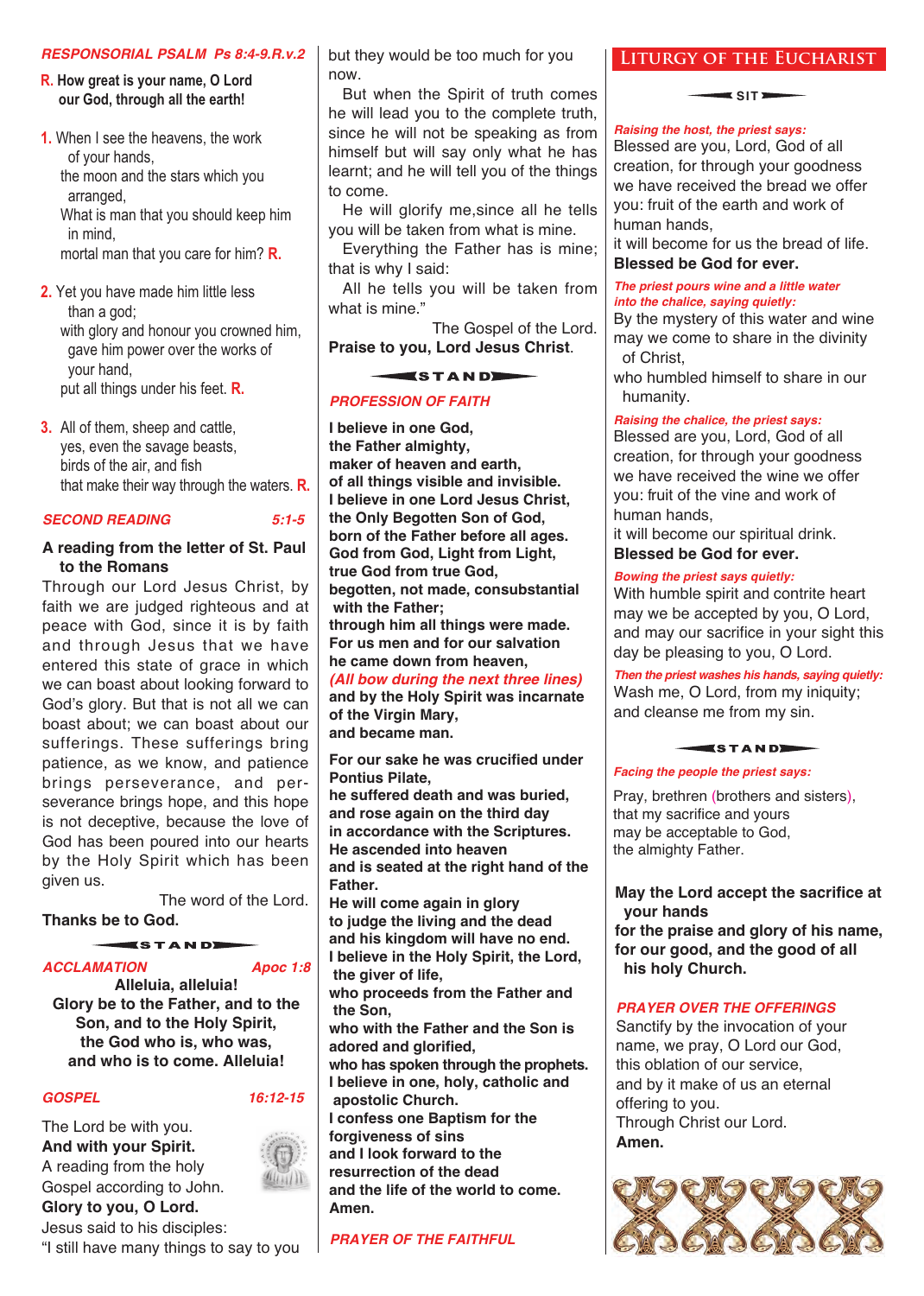**R. How great is your name, O Lord our God, through all the earth!**

**1.** When I see the heavens, the work of your hands, the moon and the stars which you arranged,

 What is man that you should keep him in mind,

mortal man that you care for him? **R.**

**2.** Yet you have made him little less than a god; with glory and honour you crowned him,

 gave him power over the works of your hand, put all things under his feet. **R.**

**3.** All of them, sheep and cattle, yes, even the savage beasts, birds of the air, and fish that make their way through the waters. **R.**

#### *SECOND READING 5:1-5*

# **A reading from the letter of St. Paul to the Romans**

Through our Lord Jesus Christ, by faith we are judged righteous and at peace with God, since it is by faith and through Jesus that we have entered this state of grace in which we can boast about looking forward to God's glory. But that is not all we can boast about; we can boast about our sufferings. These sufferings bring patience, as we know, and patience brings perseverance, and perseverance brings hope, and this hope is not deceptive, because the love of God has been poured into our hearts by the Holy Spirit which has been given us.

The word of the Lord. **Thanks be to God.**

#### $\blacksquare$ stand $\blacksquare$

*ACCLAMATION Apoc 1:8*

**Alleluia, alleluia! Glory be to the Father, and to the Son, and to the Holy Spirit, the God who is, who was, and who is to come. Alleluia!**

### *GOSPEL 16:12-15*

The Lord be with you. **And with your Spirit.** A reading from the holy Gospel according to John. **Glory to you, O Lord.**



Jesus said to his disciples: "I still have many things to say to you

**RESPONSORIAL PSALM Ps 8:4-9.R.v.2** but they would be too much for you **LITURGY OF THE EUCHARIST** but they would be too much for you now.

> But when the Spirit of truth comes he will lead you to the complete truth, since he will not be speaking as from himself but will say only what he has learnt; and he will tell you of the things to come.

> He will glorify me,since all he tells you will be taken from what is mine.

> Everything the Father has is mine; that is why I said:

> All he tells you will be taken from what is mine."

> The Gospel of the Lord. **Praise to you, Lord Jesus Christ**.

# **STAND**

#### *PROFESSION OF FAITH*

**I believe in one God, the Father almighty, maker of heaven and earth, of all things visible and invisible. I believe in one Lord Jesus Christ, the Only Begotten Son of God, born of the Father before all ages. God from God, Light from Light, true God from true God, begotten, not made, consubstantial with the Father; through him all things were made. For us men and for our salvation**

**he came down from heaven,**

*(All bow during the next three lines)* **and by the Holy Spirit was incarnate of the Virgin Mary, and became man.**

**For our sake he was crucified under Pontius Pilate,**

**he suffered death and was buried, and rose again on the third day in accordance with the Scriptures. He ascended into heaven and is seated at the right hand of the**

**Father. He will come again in glory to judge the living and the dead and his kingdom will have no end. I believe in the Holy Spirit, the Lord,** 

**the giver of life, who proceeds from the Father and the Son,**

**who with the Father and the Son is adored and glorified,**

**who has spoken through the prophets. I believe in one, holy, catholic and apostolic Church.**

**I confess one Baptism for the**

**forgiveness of sins**

**and I look forward to the**

**resurrection of the dead**

**and the life of the world to come. Amen.**

*PRAYER OF THE FAITHFUL*

 $\blacksquare$  SIT

### *Raising the host, the priest says:*

Blessed are you, Lord, God of all creation, for through your goodness we have received the bread we offer you: fruit of the earth and work of human hands,

it will become for us the bread of life. **Blessed be God for ever.**

#### *The priest pours wine and a little water into the chalice, saying quietly:*

By the mystery of this water and wine may we come to share in the divinity of Christ,

who humbled himself to share in our humanity.

#### *Raising the chalice, the priest says:*

Blessed are you, Lord, God of all creation, for through your goodness we have received the wine we offer you: fruit of the vine and work of human hands,

it will become our spiritual drink. **Blessed be God for ever.**

#### *Bowing the priest says quietly:*

With humble spirit and contrite heart may we be accepted by you, O Lord, and may our sacrifice in your sight this day be pleasing to you, O Lord.

*Then the priest washes his hands, saying quietly:* Wash me, O Lord, from my iniquity; and cleanse me from my sin.



#### *Facing the people the priest says:*

Pray, brethren (brothers and sisters), that my sacrifice and yours may be acceptable to God, the almighty Father.

#### **May the Lord accept the sacrifice at your hands**

**for the praise and glory of his name, for our good, and the good of all his holy Church.**

### *PRAYER OVER THE OFFERINGS*

Sanctify by the invocation of your name, we pray, O Lord our God, this oblation of our service, and by it make of us an eternal offering to you. Through Christ our Lord. **Amen.**

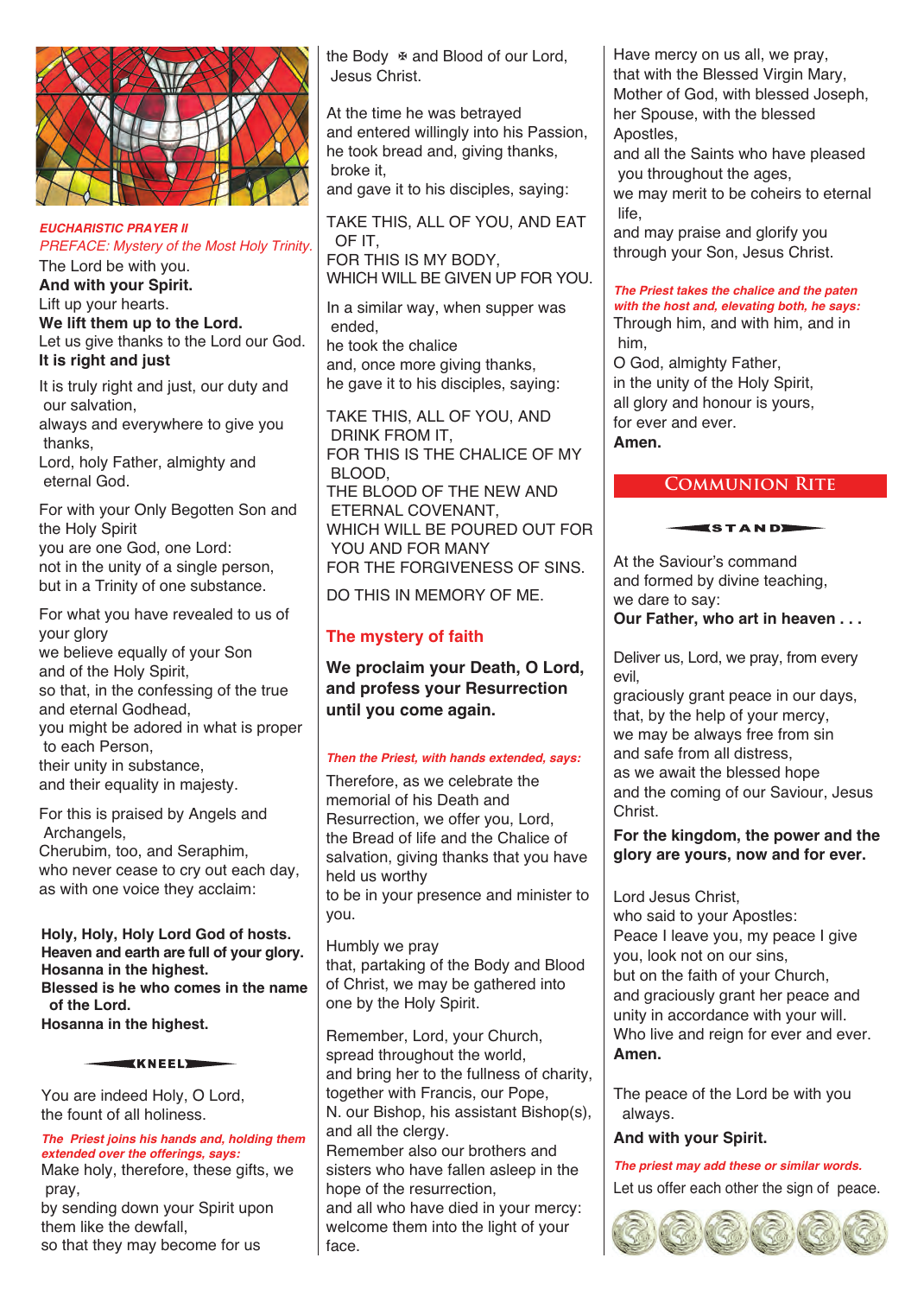

*EUCHARISTIC PRAYER II PREFACE: Mystery of the Most Holy Trinity.*

The Lord be with you. **And with your Spirit.** Lift up your hearts. **We lift them up to the Lord.** Let us give thanks to the Lord our God. **It is right and just**

It is truly right and just, our duty and our salvation,

always and everywhere to give you thanks,

Lord, holy Father, almighty and eternal God.

For with your Only Begotten Son and the Holy Spirit you are one God, one Lord: not in the unity of a single person, but in a Trinity of one substance.

For what you have revealed to us of your glory we believe equally of your Son and of the Holy Spirit, so that, in the confessing of the true and eternal Godhead, you might be adored in what is proper to each Person, their unity in substance, and their equality in majesty.

For this is praised by Angels and Archangels, Cherubim, too, and Seraphim, who never cease to cry out each day, as with one voice they acclaim:

**Holy, Holy, Holy Lord God of hosts. Heaven and earth are full of your glory. Hosanna in the highest. Blessed is he who comes in the name of the Lord. Hosanna in the highest.**

**KKNEEL** 

You are indeed Holy, O Lord, the fount of all holiness.

*The Priest joins his hands and, holding them extended over the offerings, says:* Make holy, therefore, these gifts, we pray,

by sending down your Spirit upon them like the dewfall, so that they may become for us

the Body  $\Phi$  and Blood of our Lord, Jesus Christ.

At the time he was betrayed and entered willingly into his Passion, he took bread and, giving thanks, broke it, and gave it to his disciples, saying:

TAKE THIS, ALL OF YOU, AND EAT

OF IT, FOR THIS IS MY BODY, WHICH WILL BE GIVEN UP FOR YOU.

In a similar way, when supper was ended, he took the chalice and, once more giving thanks, he gave it to his disciples, saying:

TAKE THIS, ALL OF YOU, AND DRINK FROM IT, FOR THIS IS THE CHALICE OF MY BLOOD, THE BLOOD OF THE NEW AND ETERNAL COVENANT, WHICH WILL BE POURED OUT FOR YOU AND FOR MANY FOR THE FORGIVENESS OF SINS.

DO THIS IN MEMORY OF ME.

# **The mystery of faith**

**We proclaim your Death, O Lord, and profess your Resurrection until you come again.**

# *Then the Priest, with hands extended, says:*

Therefore, as we celebrate the memorial of his Death and Resurrection, we offer you, Lord, the Bread of life and the Chalice of salvation, giving thanks that you have held us worthy to be in your presence and minister to you.

Humbly we pray that, partaking of the Body and Blood of Christ, we may be gathered into one by the Holy Spirit.

Remember, Lord, your Church, spread throughout the world, and bring her to the fullness of charity, together with Francis, our Pope, N. our Bishop, his assistant Bishop(s), and all the clergy. Remember also our brothers and sisters who have fallen asleep in the hope of the resurrection, and all who have died in your mercy: welcome them into the light of your face.

Have mercy on us all, we pray, that with the Blessed Virgin Mary, Mother of God, with blessed Joseph, her Spouse, with the blessed Apostles,

and all the Saints who have pleased you throughout the ages,

we may merit to be coheirs to eternal life,

and may praise and glorify you through your Son, Jesus Christ.

*The Priest takes the chalice and the paten with the host and, elevating both, he says:* Through him, and with him, and in him,

O God, almighty Father, in the unity of the Holy Spirit, all glory and honour is yours, for ever and ever. **Amen.**

# **Communion Rite**

STAND<del>I</del>

At the Saviour's command and formed by divine teaching, we dare to say:

# **Our Father, who art in heaven . . .**

Deliver us, Lord, we pray, from every evil,

graciously grant peace in our days, that, by the help of your mercy, we may be always free from sin and safe from all distress, as we await the blessed hope and the coming of our Saviour, Jesus Christ.

**For the kingdom, the power and the glory are yours, now and for ever.**

Lord Jesus Christ,

who said to your Apostles: Peace I leave you, my peace I give you, look not on our sins, but on the faith of your Church, and graciously grant her peace and unity in accordance with your will. Who live and reign for ever and ever. **Amen.**

The peace of the Lord be with you always.

# **And with your Spirit.**

*The priest may add these or similar words.* Let us offer each other the sign of peace.